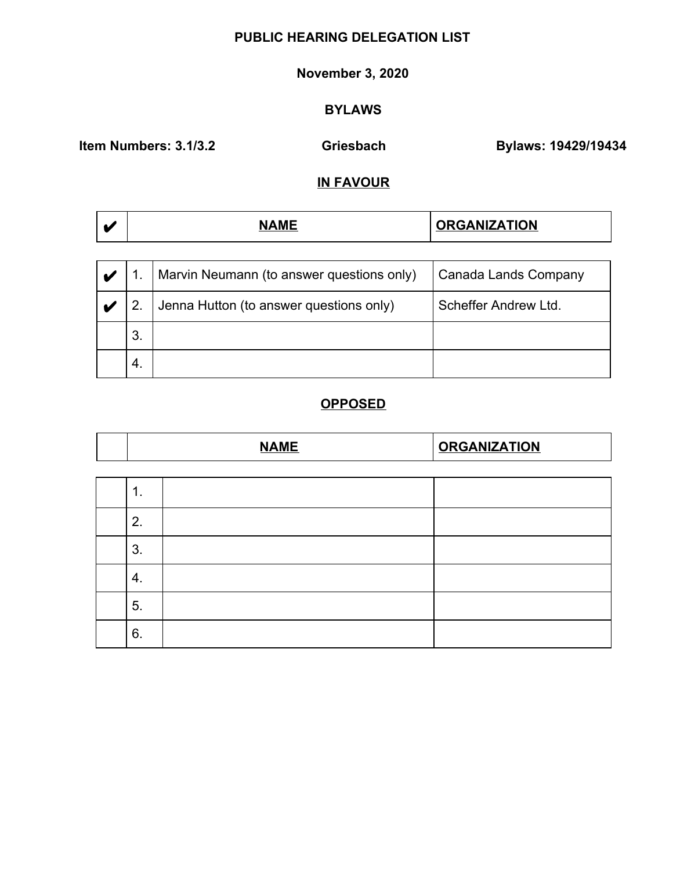#### **November 3, 2020**

# **BYLAWS**

**Item Numbers: 3.1/3.2 6riesbach Bylaws: 19429/19434** 

### **IN FAVOUR**

| w | <b>NAMF</b><br>w | <b>ORGANIZATION</b> |
|---|------------------|---------------------|
|   |                  |                     |

|    | Marvin Neumann (to answer questions only) | Canada Lands Company |
|----|-------------------------------------------|----------------------|
|    | Jenna Hutton (to answer questions only)   | Scheffer Andrew Ltd. |
| 3. |                                           |                      |
| 4. |                                           |                      |

|    | <b>NAME</b> | <b>ORGANIZATION</b> |
|----|-------------|---------------------|
|    |             |                     |
| 1. |             |                     |
| 2. |             |                     |
| 3. |             |                     |
| 4. |             |                     |
| 5. |             |                     |
| 6. |             |                     |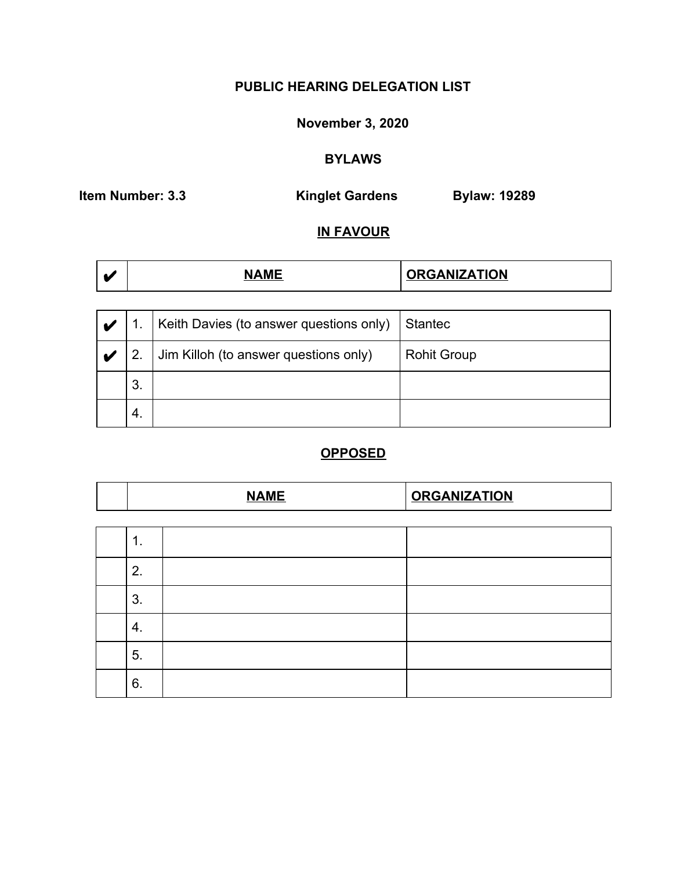# **November 3, 2020**

# **BYLAWS**

**Item Number: 3.3** Kinglet Gardens Bylaw: 19289

# **IN FAVOUR**

| <b>ANIZATION</b><br>. . |  |
|-------------------------|--|
|-------------------------|--|

|     | Keith Davies (to answer questions only) | Stantec            |
|-----|-----------------------------------------|--------------------|
|     | Jim Killoh (to answer questions only)   | <b>Rohit Group</b> |
| 3.  |                                         |                    |
| -4. |                                         |                    |

| <b>NAME</b> |  | <b>ORGANIZATION</b> |  |
|-------------|--|---------------------|--|
|             |  |                     |  |
| 1.          |  |                     |  |
| 2.          |  |                     |  |
| 3.          |  |                     |  |
| 4.          |  |                     |  |
| 5.          |  |                     |  |
| 6.          |  |                     |  |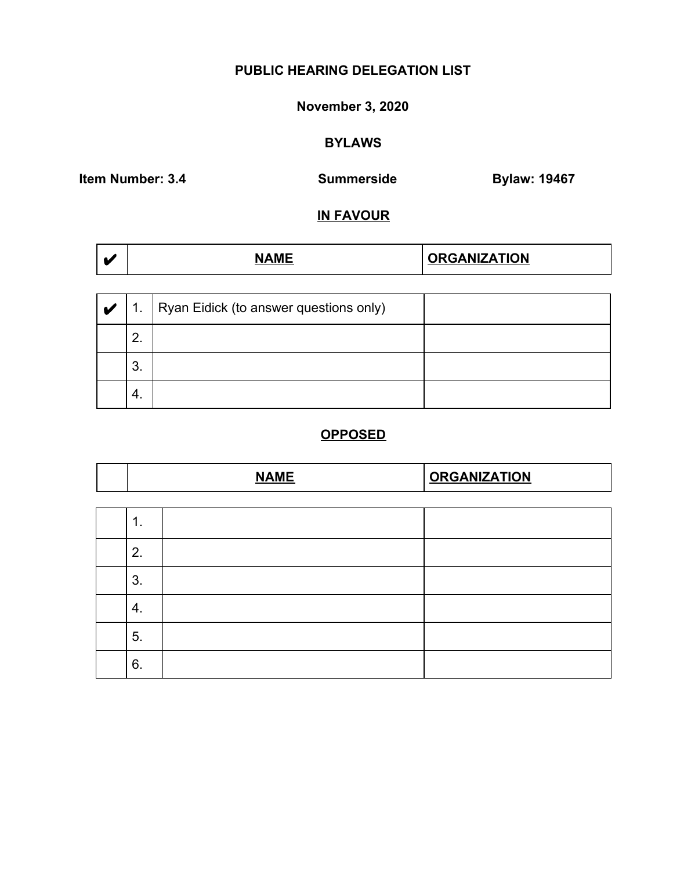# **November 3, 2020**

# **BYLAWS**

**Item Number: 3.4** Summerside Bylaw: 19467

### **IN FAVOUR**

| V | $\mathbf{1}$ . | Ryan Eidick (to answer questions only) |  |
|---|----------------|----------------------------------------|--|
|   | ົ<br><u>.</u>  |                                        |  |
|   | 3.             |                                        |  |
|   | 4.             |                                        |  |

| <b>NAME</b> |  | <b>ORGANIZATION</b> |
|-------------|--|---------------------|
|             |  |                     |
| 1.          |  |                     |
| 2.          |  |                     |
| 3.          |  |                     |
| 4.          |  |                     |
| 5.          |  |                     |
| 6.          |  |                     |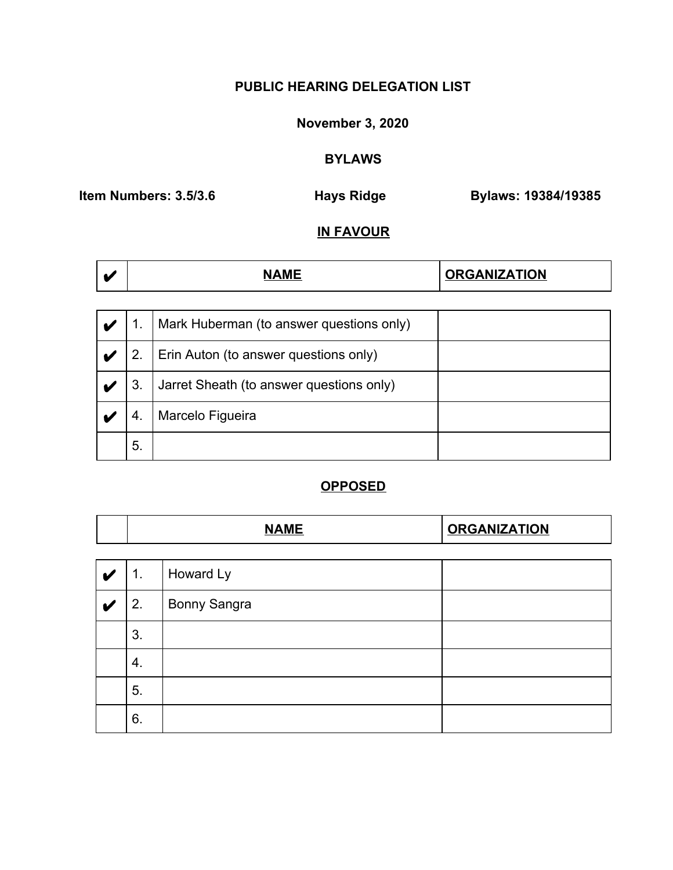# **November 3, 2020**

### **BYLAWS**

**Item Numbers: 3.5/3.6 Hays Ridge Bylaws: 19384/19385**

# **IN FAVOUR**

| <b>GANIZATION</b> |  |
|-------------------|--|
|-------------------|--|

|    | Mark Huberman (to answer questions only) |  |
|----|------------------------------------------|--|
|    | Erin Auton (to answer questions only)    |  |
| 3. | Jarret Sheath (to answer questions only) |  |
| 4. | Marcelo Figueira                         |  |
| 5. |                                          |  |

|           |                | <b>NAME</b>  | <b>ORGANIZATION</b> |
|-----------|----------------|--------------|---------------------|
|           |                |              |                     |
| $\bullet$ | $\mathbf{1}$ . | Howard Ly    |                     |
|           | 2.             | Bonny Sangra |                     |
|           | 3.             |              |                     |
|           | 4.             |              |                     |
|           | 5.             |              |                     |
|           | 6.             |              |                     |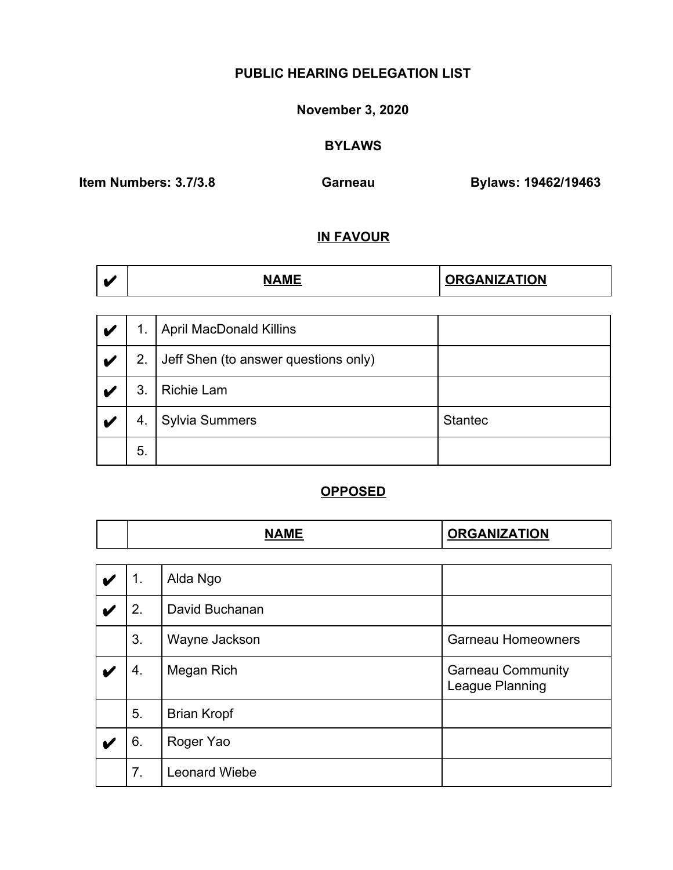#### **November 3, 2020**

### **BYLAWS**

**Item Numbers: 3.7/3.8 Garneau Bylaws: 19462/19463**

### **IN FAVOUR**

|  | <b>NAM<sup>L</sup></b> | <b>ORGANIZATION</b> |
|--|------------------------|---------------------|
|--|------------------------|---------------------|

| ✔                       | 1. | <b>April MacDonald Killins</b>       |                |
|-------------------------|----|--------------------------------------|----------------|
| $\overline{\mathbf{v}}$ | 2. | Jeff Shen (to answer questions only) |                |
|                         | 3. | <b>Richie Lam</b>                    |                |
|                         | 4. | <b>Sylvia Summers</b>                | <b>Stantec</b> |
|                         | 5. |                                      |                |

|   | <b>NAME</b> |                      | <b>ORGANIZATION</b>                         |
|---|-------------|----------------------|---------------------------------------------|
|   |             |                      |                                             |
| M | 1.          | Alda Ngo             |                                             |
|   | 2.          | David Buchanan       |                                             |
|   | 3.          | Wayne Jackson        | <b>Garneau Homeowners</b>                   |
|   | 4.          | Megan Rich           | <b>Garneau Community</b><br>League Planning |
|   | 5.          | <b>Brian Kropf</b>   |                                             |
|   | 6.          | Roger Yao            |                                             |
|   | 7.          | <b>Leonard Wiebe</b> |                                             |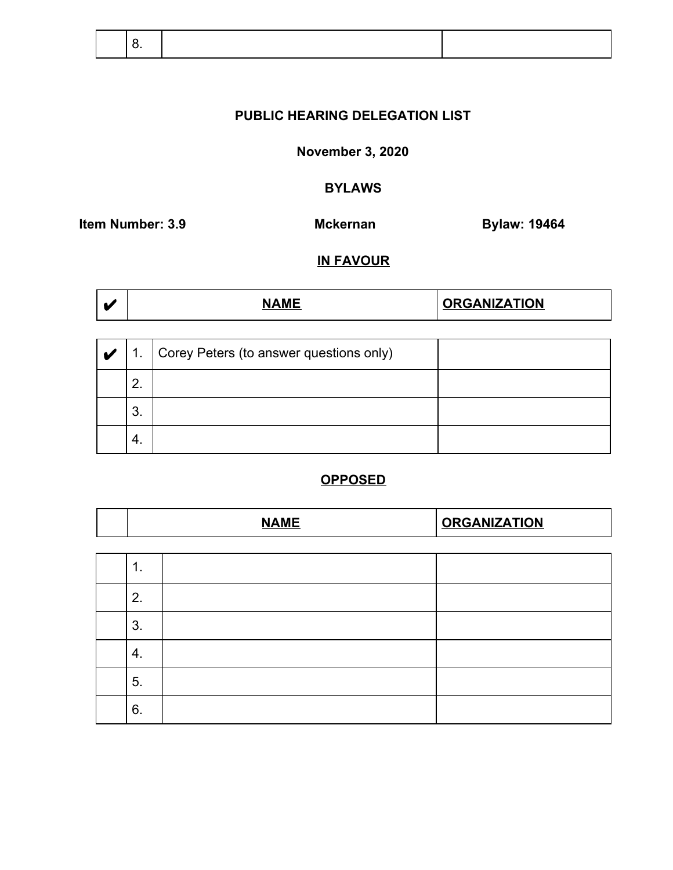**November 3, 2020**

# **BYLAWS**

**Item Number: 3.9 Mckernan Mckernan Bylaw: 19464** 

### **IN FAVOUR**

|  | <b>NAMF</b> | <b>ORGANIZATION</b> |
|--|-------------|---------------------|
|--|-------------|---------------------|

| V | 1 <sub>1</sub> | Corey Peters (to answer questions only) |  |
|---|----------------|-----------------------------------------|--|
|   | 2.             |                                         |  |
|   | 3.             |                                         |  |
|   | 4.             |                                         |  |

|    | <b>NAME</b> | <b>ORGANIZATION</b> |  |
|----|-------------|---------------------|--|
|    |             |                     |  |
| 1. |             |                     |  |
| 2. |             |                     |  |
| 3. |             |                     |  |
| 4. |             |                     |  |
| 5. |             |                     |  |
| 6. |             |                     |  |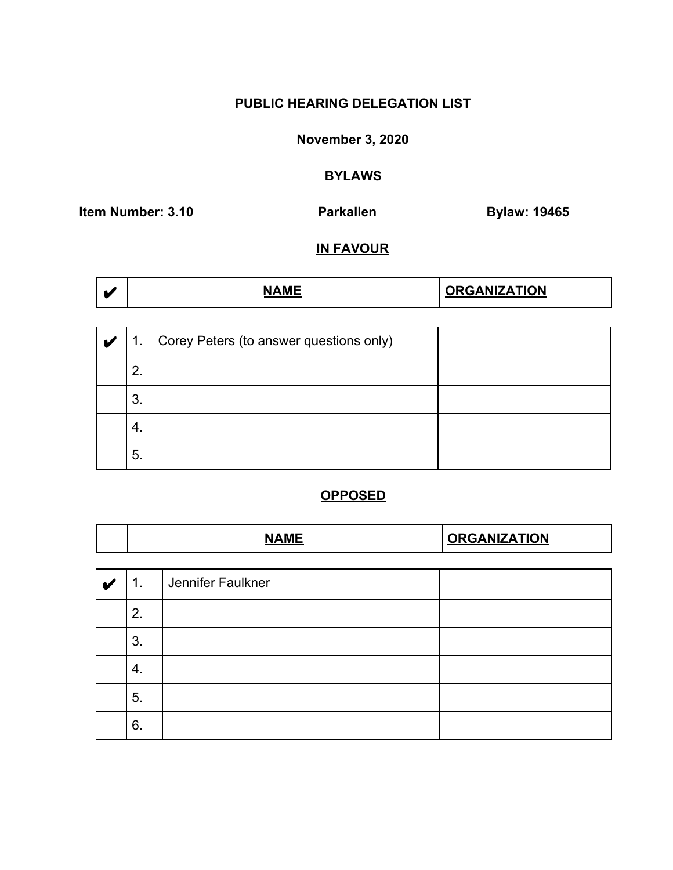### **November 3, 2020**

#### **BYLAWS**

**Item Number: 3.10 Parkallen Bylaw: 19465** 

### **IN FAVOUR**

| <b>ORGANIZATION</b><br><b>NAMF</b> |  |
|------------------------------------|--|
|------------------------------------|--|

| V | 1. | Corey Peters (to answer questions only) |  |
|---|----|-----------------------------------------|--|
|   | 2. |                                         |  |
|   | 3. |                                         |  |
|   | 4. |                                         |  |
|   | 5. |                                         |  |

| <b>NAME</b>    |                   | <b>ORGANIZATION</b> |  |  |
|----------------|-------------------|---------------------|--|--|
|                |                   |                     |  |  |
| 1 <sub>1</sub> | Jennifer Faulkner |                     |  |  |
| 2.             |                   |                     |  |  |
| 3.             |                   |                     |  |  |
| 4.             |                   |                     |  |  |
| 5.             |                   |                     |  |  |
| 6.             |                   |                     |  |  |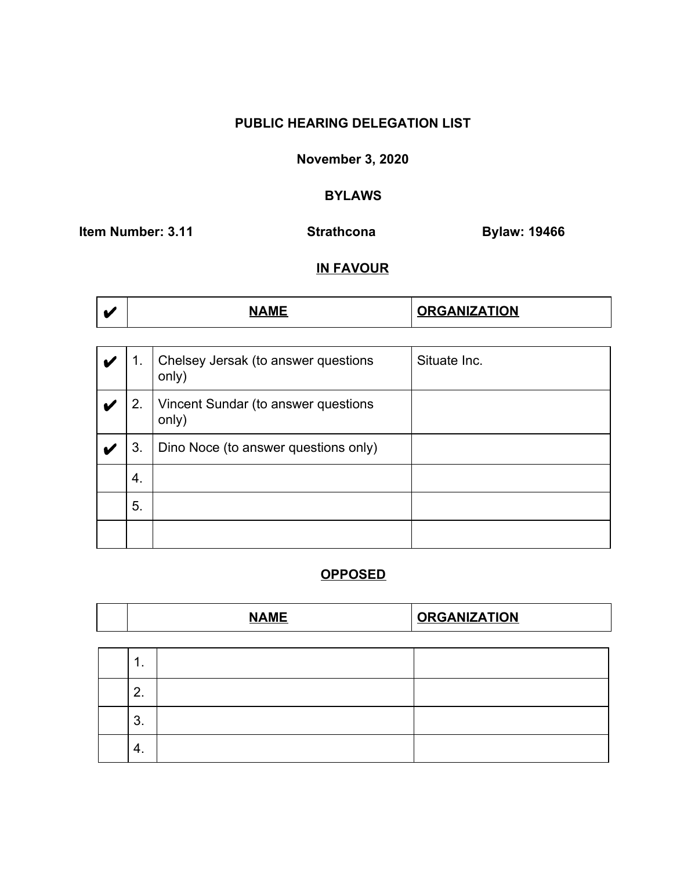### **November 3, 2020**

# **BYLAWS**

**Item Number: 3.11** Strathcona Bylaw: 19466

### **IN FAVOUR**

| <b>GANIZATION</b><br>--- |
|--------------------------|
|--------------------------|

| 1. | Chelsey Jersak (to answer questions<br>only) | Situate Inc. |
|----|----------------------------------------------|--------------|
| 2. | Vincent Sundar (to answer questions<br>only) |              |
| 3. | Dino Noce (to answer questions only)         |              |
| 4. |                                              |              |
| 5. |                                              |              |
|    |                                              |              |

|  |  | $\cdots$<br>$\mathbf{a}$ | . A LIIT A TIA LI |
|--|--|--------------------------|-------------------|
|--|--|--------------------------|-------------------|

| . .           |  |
|---------------|--|
| n<br><u>.</u> |  |
| ◠<br>J.       |  |
| $-4.$         |  |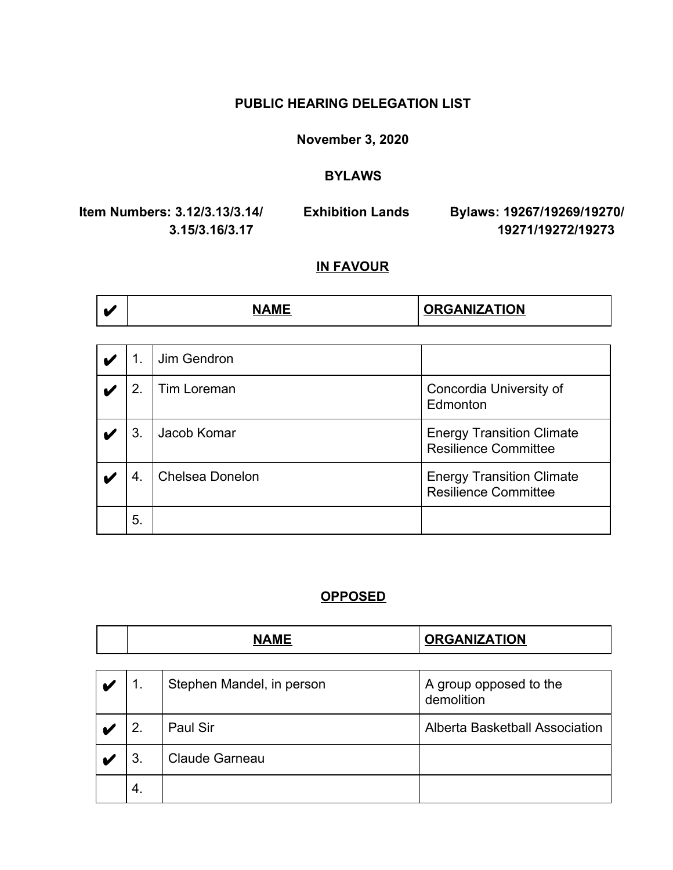**November 3, 2020**

#### **BYLAWS**

**Item Numbers: 3.12/3.13/3.14/ Exhibition Lands Bylaws: 19267/19269/19270/**

 **3.15/3.16/3.17 19271/19272/19273**

### **IN FAVOUR**

|  | ---<br>______ | <b>RGANIZATION</b> |
|--|---------------|--------------------|
|--|---------------|--------------------|

| 1. | Jim Gendron     |                                                                 |
|----|-----------------|-----------------------------------------------------------------|
| 2. | Tim Loreman     | Concordia University of<br>Edmonton                             |
| 3. | Jacob Komar     | <b>Energy Transition Climate</b><br><b>Resilience Committee</b> |
| 4. | Chelsea Donelon | <b>Energy Transition Climate</b><br><b>Resilience Committee</b> |
| 5. |                 |                                                                 |

| NAME<br>AIVIE | <b>ORGANIZATION</b> |
|---------------|---------------------|
|               |                     |

|    | Stephen Mandel, in person | A group opposed to the<br>demolition |
|----|---------------------------|--------------------------------------|
|    | Paul Sir                  | Alberta Basketball Association       |
|    | <b>Claude Garneau</b>     |                                      |
| 4. |                           |                                      |